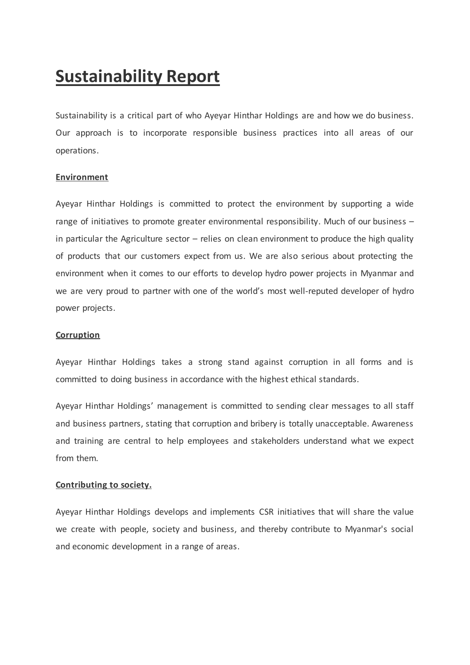# **Sustainability Report**

Sustainability is a critical part of who Ayeyar Hinthar Holdings are and how we do business. Our approach is to incorporate responsible business practices into all areas of our operations.

## **Environment**

Ayeyar Hinthar Holdings is committed to protect the environment by supporting a wide range of initiatives to promote greater environmental responsibility. Much of our business – in particular the Agriculture sector  $-$  relies on clean environment to produce the high quality of products that our customers expect from us. We are also serious about protecting the environment when it comes to our efforts to develop hydro power projects in Myanmar and we are very proud to partner with one of the world's most well-reputed developer of hydro power projects.

### **Corruption**

Ayeyar Hinthar Holdings takes a strong stand against corruption in all forms and is committed to doing business in accordance with the highest ethical standards.

Ayeyar Hinthar Holdings' management is committed to sending clear messages to all staff and business partners, stating that corruption and bribery is totally unacceptable. Awareness and training are central to help employees and stakeholders understand what we expect from them.

### **Contributing to society.**

Ayeyar Hinthar Holdings develops and implements CSR initiatives that will share the value we create with people, society and business, and thereby contribute to Myanmar's social and economic development in a range of areas.